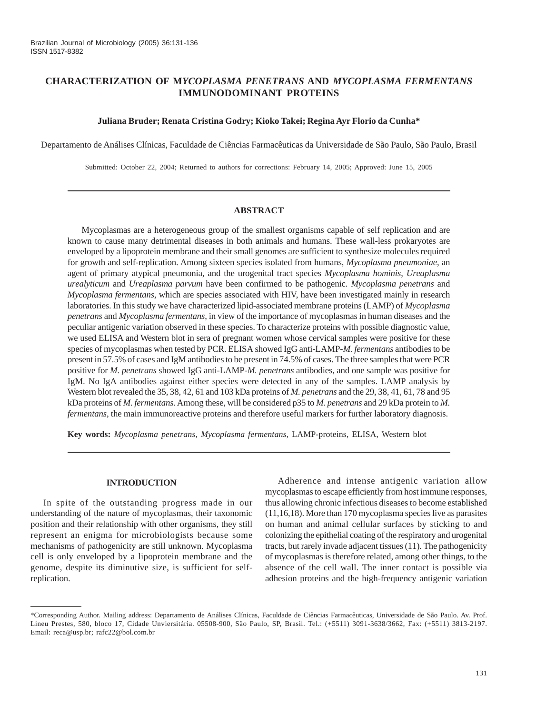# **CHARACTERIZATION OF M***YCOPLASMA PENETRANS* **AND** *MYCOPLASMA FERMENTANS* **IMMUNODOMINANT PROTEINS**

### **Juliana Bruder; Renata Cristina Godry; Kioko Takei; Regina Ayr Florio da Cunha\***

Departamento de Análises Clínicas, Faculdade de Ciências Farmacêuticas da Universidade de São Paulo, São Paulo, Brasil

Submitted: October 22, 2004; Returned to authors for corrections: February 14, 2005; Approved: June 15, 2005

### **ABSTRACT**

Mycoplasmas are a heterogeneous group of the smallest organisms capable of self replication and are known to cause many detrimental diseases in both animals and humans. These wall-less prokaryotes are enveloped by a lipoprotein membrane and their small genomes are sufficient to synthesize molecules required for growth and self-replication. Among sixteen species isolated from humans, *Mycoplasma pneumoniae*, an agent of primary atypical pneumonia, and the urogenital tract species *Mycoplasma hominis*, *Ureaplasma urealyticum* and *Ureaplasma parvum* have been confirmed to be pathogenic. *Mycoplasma penetrans* and *Mycoplasma fermentans*, which are species associated with HIV, have been investigated mainly in research laboratories. In this study we have characterized lipid-associated membrane proteins (LAMP) of *Mycoplasma penetrans* and *Mycoplasma fermentans*, in view of the importance of mycoplasmas in human diseases and the peculiar antigenic variation observed in these species. To characterize proteins with possible diagnostic value, we used ELISA and Western blot in sera of pregnant women whose cervical samples were positive for these species of mycoplasmas when tested by PCR. ELISA showed IgG anti-LAMP-*M. fermentans* antibodies to be present in 57.5% of cases and IgM antibodies to be present in 74.5% of cases. The three samples that were PCR positive for *M. penetrans* showed IgG anti-LAMP-*M. penetrans* antibodies, and one sample was positive for IgM. No IgA antibodies against either species were detected in any of the samples. LAMP analysis by Western blot revealed the 35, 38, 42, 61 and 103 kDa proteins of *M. penetrans* and the 29, 38, 41, 61, 78 and 95 kDa proteins of *M. fermentans*. Among these, will be considered p35 to *M. penetrans* and 29 kDa protein to *M. fermentans*, the main immunoreactive proteins and therefore useful markers for further laboratory diagnosis.

**Key words:** *Mycoplasma penetrans, Mycoplasma fermentans,* LAMP-proteins, ELISA, Western blot

#### **INTRODUCTION**

In spite of the outstanding progress made in our understanding of the nature of mycoplasmas, their taxonomic position and their relationship with other organisms, they still represent an enigma for microbiologists because some mechanisms of pathogenicity are still unknown. Mycoplasma cell is only enveloped by a lipoprotein membrane and the genome, despite its diminutive size, is sufficient for selfreplication.

Adherence and intense antigenic variation allow mycoplasmas to escape efficiently from host immune responses, thus allowing chronic infectious diseases to become established (11,16,18). More than 170 mycoplasma species live as parasites on human and animal cellular surfaces by sticking to and colonizing the epithelial coating of the respiratory and urogenital tracts, but rarely invade adjacent tissues (11). The pathogenicity of mycoplasmas is therefore related, among other things, to the absence of the cell wall. The inner contact is possible via adhesion proteins and the high-frequency antigenic variation

<sup>\*</sup>Corresponding Author. Mailing address: Departamento de Análises Clínicas, Faculdade de Ciências Farmacêuticas, Universidade de São Paulo. Av. Prof. Lineu Prestes, 580, bloco 17, Cidade Unviersitária. 05508-900, São Paulo, SP, Brasil. Tel.: (+5511) 3091-3638/3662, Fax: (+5511) 3813-2197. Email: reca@usp.br; rafc22@bol.com.br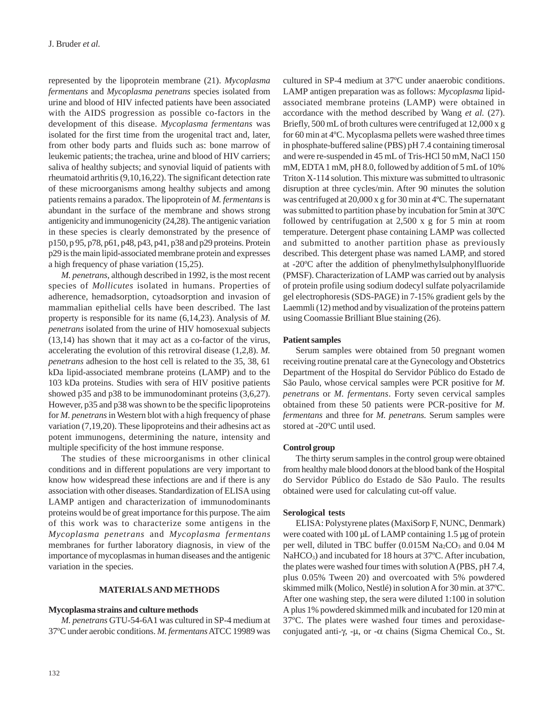represented by the lipoprotein membrane (21). *Mycoplasma fermentans* and *Mycoplasma penetrans* species isolated from urine and blood of HIV infected patients have been associated with the AIDS progression as possible co-factors in the development of this disease. *Mycoplasma fermentans* was isolated for the first time from the urogenital tract and, later, from other body parts and fluids such as: bone marrow of leukemic patients; the trachea, urine and blood of HIV carriers; saliva of healthy subjects; and synovial liquid of patients with rheumatoid arthritis (9,10,16,22). The significant detection rate of these microorganisms among healthy subjects and among patients remains a paradox. The lipoprotein of *M. fermentans* is abundant in the surface of the membrane and shows strong antigenicity and immunogenicity (24,28). The antigenic variation in these species is clearly demonstrated by the presence of p150, p 95, p78, p61, p48, p43, p41, p38 and p29 proteins. Protein p29 is the main lipid-associated membrane protein and expresses a high frequency of phase variation (15,25).

*M. penetrans*, although described in 1992, is the most recent species of *Mollicutes* isolated in humans. Properties of adherence, hemadsorption, cytoadsorption and invasion of mammalian epithelial cells have been described. The last property is responsible for its name (6,14,23). Analysis of *M. penetrans* isolated from the urine of HIV homosexual subjects (13,14) has shown that it may act as a co-factor of the virus, accelerating the evolution of this retroviral disease (1,2,8). *M. penetrans* adhesion to the host cell is related to the 35, 38, 61 kDa lipid-associated membrane proteins (LAMP) and to the 103 kDa proteins. Studies with sera of HIV positive patients showed p35 and p38 to be immunodominant proteins  $(3,6,27)$ . However, p35 and p38 was shown to be the specific lipoproteins for *M. penetrans* in Western blot with a high frequency of phase variation (7,19,20). These lipoproteins and their adhesins act as potent immunogens, determining the nature, intensity and multiple specificity of the host immune response.

The studies of these microorganisms in other clinical conditions and in different populations are very important to know how widespread these infections are and if there is any association with other diseases. Standardization of ELISA using LAMP antigen and characterization of immunodominants proteins would be of great importance for this purpose. The aim of this work was to characterize some antigens in the *Mycoplasma penetrans* and *Mycoplasma fermentans* membranes for further laboratory diagnosis, in view of the importance of mycoplasmas in human diseases and the antigenic variation in the species.

#### **MATERIALS AND METHODS**

#### **Mycoplasma strains and culture methods**

*M. penetrans* GTU-54-6A1 was cultured in SP-4 medium at 37ºC under aerobic conditions. *M. fermentans* ATCC 19989 was cultured in SP-4 medium at 37ºC under anaerobic conditions. LAMP antigen preparation was as follows: *Mycoplasma* lipidassociated membrane proteins (LAMP) were obtained in accordance with the method described by Wang *et al.* (27). Briefly, 500 mL of broth cultures were centrifuged at 12,000 x g for 60 min at 4ºC. Mycoplasma pellets were washed three times in phosphate-buffered saline (PBS) pH 7.4 containing timerosal and were re-suspended in 45 mL of Tris-HCl 50 mM, NaCl 150 mM, EDTA 1 mM, pH 8.0, followed by addition of 5 mL of 10% Triton X-114 solution. This mixture was submitted to ultrasonic disruption at three cycles/min. After 90 minutes the solution was centrifuged at 20,000 x g for 30 min at 4ºC. The supernatant was submitted to partition phase by incubation for 5min at 30ºC followed by centrifugation at 2,500 x g for 5 min at room temperature. Detergent phase containing LAMP was collected and submitted to another partition phase as previously described. This detergent phase was named LAMP, and stored at -20ºC after the addition of phenylmethylsulphonylfluoride (PMSF). Characterization of LAMP was carried out by analysis of protein profile using sodium dodecyl sulfate polyacrilamide gel electrophoresis (SDS-PAGE) in 7-15% gradient gels by the Laemmli (12) method and by visualization of the proteins pattern using Coomassie Brilliant Blue staining (26).

#### **Patient samples**

Serum samples were obtained from 50 pregnant women receiving routine prenatal care at the Gynecology and Obstetrics Department of the Hospital do Servidor Público do Estado de São Paulo, whose cervical samples were PCR positive for *M. penetrans* or *M. fermentans*. Forty seven cervical samples obtained from these 50 patients were PCR-positive for *M. fermentans* and three for *M. penetrans.* Serum samples were stored at -20ºC until used.

### **Control group**

The thirty serum samples in the control group were obtained from healthy male blood donors at the blood bank of the Hospital do Servidor Público do Estado de São Paulo. The results obtained were used for calculating cut-off value.

#### **Serological tests**

ELISA: Polystyrene plates (MaxiSorp F, NUNC, Denmark) were coated with 100 µL of LAMP containing 1.5 µg of protein per well, diluted in TBC buffer  $(0.015M\text{ Na}_2CO_3$  and  $0.04\text{ M}$ NaHCO<sub>3</sub>) and incubated for 18 hours at  $37^{\circ}$ C. After incubation, the plates were washed four times with solution A (PBS, pH 7.4, plus 0.05% Tween 20) and overcoated with 5% powdered skimmed milk (Molico, Nestlé) in solution A for 30 min. at 37ºC. After one washing step, the sera were diluted 1:100 in solution A plus 1% powdered skimmed milk and incubated for 120 min at 37ºC. The plates were washed four times and peroxidaseconjugated anti-γ, -μ, or -α chains (Sigma Chemical Co., St.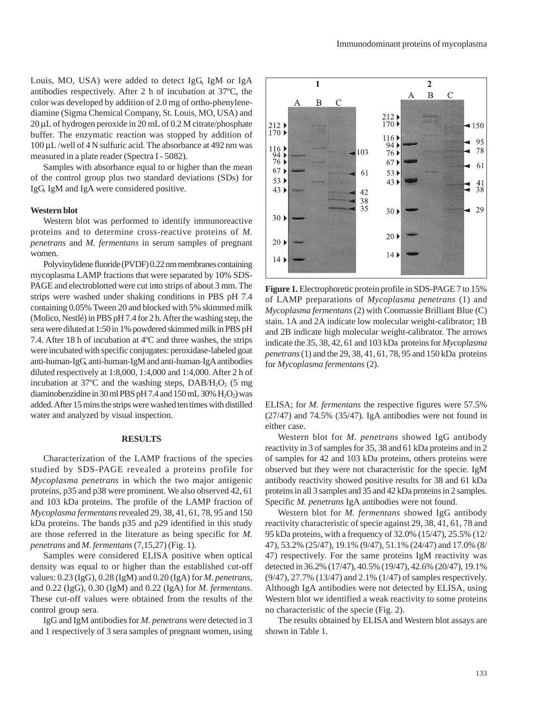Louis, MO, USA) were added to detect IgG, IgM or IgA antibodies respectively. After 2 h of incubation at 37ºC, the color was developed by addition of 2.0 mg of ortho-phenylenediamine (Sigma Chemical Company, St. Louis, MO, USA) and 20 μL of hydrogen peroxide in 20 mL of 0.2 M citrate/phosphate buffer. The enzymatic reaction was stopped by addition of 100 μL /well of 4 N sulfuric acid. The absorbance at 492 nm was measured in a plate reader (Spectra I - 5082).

Samples with absorbance equal to or higher than the mean of the control group plus two standard deviations (SDs) for IgG, IgM and IgA were considered positive.

#### **Western blot**

Western blot was performed to identify immunoreactive proteins and to determine cross-reactive proteins of *M. penetrans* and *M. fermentans* in serum samples of pregnant women.

Polyvinylidene fluoride (PVDF) 0.22 nm membranes containing mycoplasma LAMP fractions that were separated by 10% SDS-PAGE and electroblotted were cut into strips of about 3 mm. The strips were washed under shaking conditions in PBS pH 7.4 containing 0.05% Tween 20 and blocked with 5% skimmed milk (Molico, Nestlé) in PBS pH 7.4 for 2 h. After the washing step, the sera were diluted at 1:50 in 1% powdered skimmed milk in PBS pH 7.4. After 18 h of incubation at 4ºC and three washes, the strips were incubated with specific conjugates: peroxidase-labeled goat anti-human-IgG, anti-human-IgM and anti-human-IgA antibodies diluted respectively at 1:8,000, 1:4,000 and 1:4,000. After 2 h of incubation at  $37^{\circ}$ C and the washing steps, DAB/H<sub>2</sub>O<sub>2</sub> (5 mg) diaminobenzidine in 30 ml PBS pH 7.4 and 150 mL 30%  $H_2O_2$ ) was added. After 15 mins the strips were washed ten times with distilled water and analyzed by visual inspection.

#### **RESULTS**

Characterization of the LAMP fractions of the species studied by SDS-PAGE revealed a proteins profile for *Mycoplasma penetrans* in which the two major antigenic proteins, p35 and p38 were prominent. We also observed 42, 61 and 103 kDa proteins. The profile of the LAMP fraction of *Mycoplasma fermentans* revealed 29, 38, 41, 61, 78, 95 and 150 kDa proteins. The bands p35 and p29 identified in this study are those referred in the literature as being specific for *M. penetrans* and *M. fermentans* (7,15,27) (Fig. 1).

Samples were considered ELISA positive when optical density was equal to or higher than the established cut-off values: 0.23 (IgG), 0.28 (IgM) and 0.20 (IgA) for *M. penetrans*, and 0.22 (IgG), 0.30 (IgM) and 0.22 (IgA) for *M. fermentans*. These cut-off values were obtained from the results of the control group sera.

IgG and IgM antibodies for *M. penetrans* were detected in 3 and 1 respectively of 3 sera samples of pregnant women, using



**Figure 1.** Electrophoretic protein profile in SDS-PAGE 7 to 15% of LAMP preparations of *Mycoplasma penetrans* (1) and *Mycoplasma fermentans* (2) with Coomassie Brilliant Blue (C) stain. 1A and 2A indicate low molecular weight-calibrator; 1B and 2B indicate high molecular weight-calibrator. The arrows indicate the 35, 38, 42, 61 and 103 kDa proteins for *Mycoplasma penetrans* (1) and the 29, 38, 41, 61, 78, 95 and 150 kDa proteins for *Mycoplasma fermentans* (2).

ELISA; for *M. fermentans* the respective figures were 57.5% (27/47) and 74.5% (35/47). IgA antibodies were not found in either case.

Western blot for *M. penetrans* showed IgG antibody reactivity in 3 of samples for 35, 38 and 61 kDa proteins and in 2 of samples for 42 and 103 kDa proteins, others proteins were observed but they were not characteristic for the specie. IgM antibody reactivity showed positive results for 38 and 61 kDa proteins in all 3 samples and 35 and 42 kDa proteins in 2 samples. Specific *M. penetrans* IgA antibodies were not found.

Western blot for *M. fermentans* showed IgG antibody reactivity characteristic of specie against 29, 38, 41, 61, 78 and 95 kDa proteins, with a frequency of 32.0% (15/47), 25.5% (12/ 47), 53.2% (25/47), 19.1% (9/47), 51.1% (24/47) and 17.0% (8/ 47) respectively. For the same proteins IgM reactivity was detected in 36.2% (17/47), 40.5% (19/47), 42.6% (20/47), 19.1% (9/47), 27.7% (13/47) and 2.1% (1/47) of samples respectively. Although IgA antibodies were not detected by ELISA, using Western blot we identified a weak reactivity to some proteins no characteristic of the specie (Fig. 2).

The results obtained by ELISA and Western blot assays are shown in Table 1.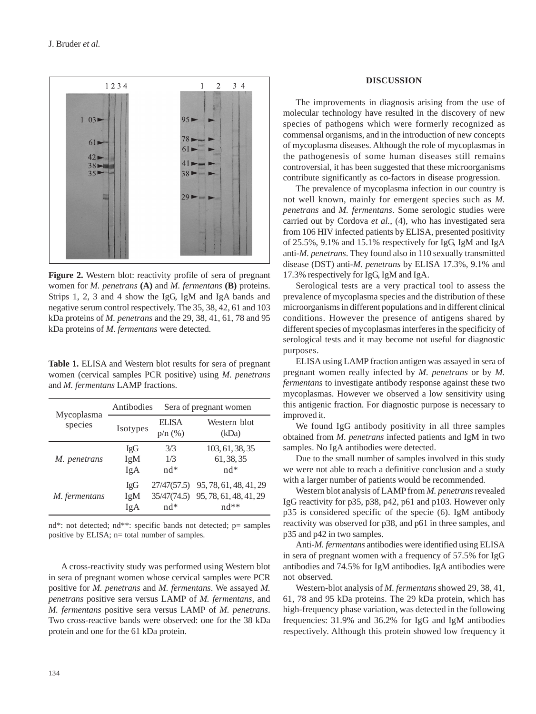

**Figure 2.** Western blot: reactivity profile of sera of pregnant women for *M. penetrans* **(A)** and *M. fermentans* **(B)** proteins. Strips 1, 2, 3 and 4 show the IgG, IgM and IgA bands and negative serum control respectively. The 35, 38, 42, 61 and 103 kDa proteins of *M. penetrans* and the 29, 38, 41, 61, 78 and 95 kDa proteins of *M. fermentans* were detected.

**Table 1.** ELISA and Western blot results for sera of pregnant women (cervical samples PCR positive) using *M. penetrans* and *M. fermentans* LAMP fractions.

| Mycoplasma<br>species | Antibodies               |                              | Sera of pregnant women                                                             |  |
|-----------------------|--------------------------|------------------------------|------------------------------------------------------------------------------------|--|
|                       | Isotypes                 | <b>ELISA</b><br>$p/n$ $(\%)$ | Western blot<br>(kDa)                                                              |  |
| M. penetrans          | <b>IgG</b><br>IgM<br>IgA | 3/3<br>1/3<br>$nd*$          | 103, 61, 38, 35<br>61, 38, 35<br>$nd*$                                             |  |
| <i>M.</i> fermentans  | <b>IgG</b><br>IgM<br>IgA | $nd*$                        | 27/47(57.5) 95, 78, 61, 48, 41, 29<br>35/47(74.5) 95, 78, 61, 48, 41, 29<br>$nd**$ |  |

nd\*: not detected; nd\*\*: specific bands not detected; p= samples positive by ELISA; n= total number of samples.

A cross-reactivity study was performed using Western blot in sera of pregnant women whose cervical samples were PCR positive for *M. penetrans* and *M. fermentans*. We assayed *M. penetrans* positive sera versus LAMP of *M. fermentans*, and *M. fermentans* positive sera versus LAMP of *M. penetrans*. Two cross-reactive bands were observed: one for the 38 kDa protein and one for the 61 kDa protein.

### **DISCUSSION**

The improvements in diagnosis arising from the use of molecular technology have resulted in the discovery of new species of pathogens which were formerly recognized as commensal organisms, and in the introduction of new concepts of mycoplasma diseases. Although the role of mycoplasmas in the pathogenesis of some human diseases still remains controversial, it has been suggested that these microorganisms contribute significantly as co-factors in disease progression.

The prevalence of mycoplasma infection in our country is not well known, mainly for emergent species such as *M. penetrans* and *M. fermentans*. Some serologic studies were carried out by Cordova *et al.*, (4), who has investigated sera from 106 HIV infected patients by ELISA, presented positivity of 25.5%, 9.1% and 15.1% respectively for IgG, IgM and IgA anti-*M. penetrans*. They found also in 110 sexually transmitted disease (DST) anti-*M. penetrans* by ELISA 17.3%, 9.1% and 17.3% respectively for IgG, IgM and IgA.

Serological tests are a very practical tool to assess the prevalence of mycoplasma species and the distribution of these microorganisms in different populations and in different clinical conditions. However the presence of antigens shared by different species of mycoplasmas interferes in the specificity of serological tests and it may become not useful for diagnostic purposes.

ELISA using LAMP fraction antigen was assayed in sera of pregnant women really infected by *M. penetrans* or by *M. fermentans* to investigate antibody response against these two mycoplasmas. However we observed a low sensitivity using this antigenic fraction. For diagnostic purpose is necessary to improved it.

We found IgG antibody positivity in all three samples obtained from *M. penetrans* infected patients and IgM in two samples. No IgA antibodies were detected.

Due to the small number of samples involved in this study we were not able to reach a definitive conclusion and a study with a larger number of patients would be recommended.

Western blot analysis of LAMP from *M. penetrans* revealed IgG reactivity for p35, p38, p42, p61 and p103. However only p35 is considered specific of the specie (6). IgM antibody reactivity was observed for p38, and p61 in three samples, and p35 and p42 in two samples.

Anti-*M. fermentans* antibodies were identified using ELISA in sera of pregnant women with a frequency of 57.5% for IgG antibodies and 74.5% for IgM antibodies. IgA antibodies were not observed.

Western-blot analysis of *M. fermentans* showed 29, 38, 41, 61, 78 and 95 kDa proteins. The 29 kDa protein, which has high-frequency phase variation, was detected in the following frequencies: 31.9% and 36.2% for IgG and IgM antibodies respectively. Although this protein showed low frequency it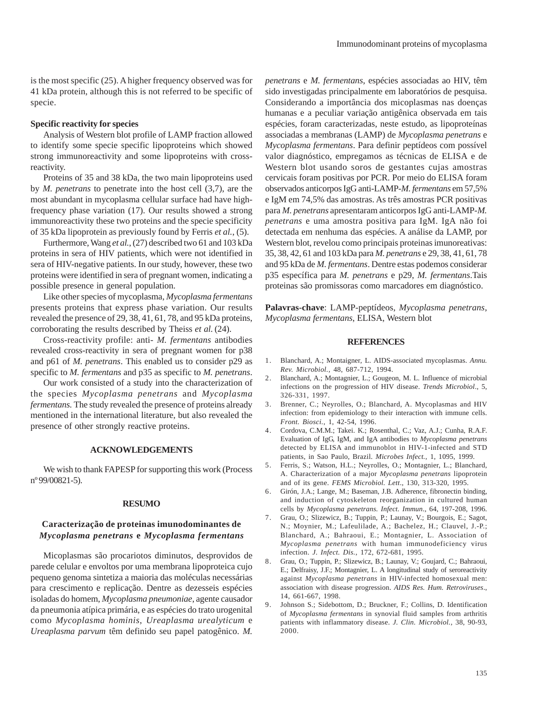is the most specific (25). A higher frequency observed was for 41 kDa protein, although this is not referred to be specific of specie.

## **Specific reactivity for species**

Analysis of Western blot profile of LAMP fraction allowed to identify some specie specific lipoproteins which showed strong immunoreactivity and some lipoproteins with crossreactivity.

Proteins of 35 and 38 kDa, the two main lipoproteins used by *M. penetrans* to penetrate into the host cell (3,7), are the most abundant in mycoplasma cellular surface had have highfrequency phase variation (17). Our results showed a strong immunoreactivity these two proteins and the specie specificity of 35 kDa lipoprotein as previously found by Ferris *et al.*, (5).

Furthermore, Wang *et al.*, (27) described two 61 and 103 kDa proteins in sera of HIV patients, which were not identified in sera of HIV-negative patients. In our study, however, these two proteins were identified in sera of pregnant women, indicating a possible presence in general population.

Like other species of mycoplasma, *Mycoplasma fermentans* presents proteins that express phase variation. Our results revealed the presence of 29, 38, 41, 61, 78, and 95 kDa proteins, corroborating the results described by Theiss *et al.*(24).

Cross-reactivity profile: anti- *M. fermentans* antibodies revealed cross-reactivity in sera of pregnant women for p38 and p61 of *M. penetrans*. This enabled us to consider p29 as specific to *M. fermentans* and p35 as specific to *M. penetrans*.

Our work consisted of a study into the characterization of the species *Mycoplasma penetrans* and *Mycoplasma fermentans.* The study revealed the presence of proteins already mentioned in the international literature, but also revealed the presence of other strongly reactive proteins.

### **ACKNOWLEDGEMENTS**

We wish to thank FAPESP for supporting this work (Process nº 99/00821-5).

#### **RESUMO**

# **Caracterização de proteinas imunodominantes de** *Mycoplasma penetrans* **e** *Mycoplasma fermentans*

Micoplasmas são procariotos diminutos, desprovidos de parede celular e envoltos por uma membrana lipoproteica cujo pequeno genoma sintetiza a maioria das moléculas necessárias para crescimento e replicação. Dentre as dezesseis espécies isoladas do homem, *Mycoplasma pneumoniae*, agente causador da pneumonia atípica primária, e as espécies do trato urogenital como *Mycoplasma hominis*, *Ureaplasma urealyticum* e *Ureaplasma parvum* têm definido seu papel patogênico. *M.*

*penetrans* e *M. fermentans*, espécies associadas ao HIV, têm sido investigadas principalmente em laboratórios de pesquisa. Considerando a importância dos micoplasmas nas doenças humanas e a peculiar variação antigênica observada em tais espécies, foram caracterizadas, neste estudo, as lipoproteínas associadas a membranas (LAMP) de *Mycoplasma penetrans* e *Mycoplasma fermentans*. Para definir peptídeos com possível valor diagnóstico, empregamos as técnicas de ELISA e de Western blot usando soros de gestantes cujas amostras cervicais foram positivas por PCR. Por meio do ELISA foram observados anticorpos IgG anti-LAMP-*M. fermentans* em 57,5% e IgM em 74,5% das amostras. As três amostras PCR positivas para *M. penetrans* apresentaram anticorpos IgG anti-LAMP-*M. penetrans* e uma amostra positiva para IgM. IgA não foi detectada em nenhuma das espécies. A análise da LAMP, por Western blot, revelou como principais proteinas imunoreativas: 35, 38, 42, 61 and 103 kDa para *M. penetrans* e 29, 38, 41, 61, 78 and 95 kDa de *M. fermentans*. Dentre estas podemos considerar p35 específica para *M. penetrans* e p29, *M. fermentans*.Tais proteinas são promissoras como marcadores em diagnóstico.

**Palavras-chave**: LAMP-peptídeos, *Mycoplasma penetrans*, *Mycoplasma fermentans*, ELISA, Western blot

#### **REFERENCES**

- 1. Blanchard, A.; Montaigner, L. AIDS-associated mycoplasmas. *Annu. Rev. Microbiol.*, 48, 687-712, 1994.
- 2. Blanchard, A.; Montagnier, L.; Gougeon, M. L. Influence of microbial infections on the progression of HIV disease. *Trends Microbiol*., 5, 326-331, 1997.
- 3. Brenner, C.; Neyrolles, O.; Blanchard, A. Mycoplasmas and HIV infection: from epidemiology to their interaction with immune cells. *Front. Biosci.*, 1, 42-54, 1996.
- 4. Cordova, C.M.M.; Takei. K.; Rosenthal, C.; Vaz, A.J.; Cunha, R.A.F. Evaluation of IgG, IgM, and IgA antibodies to *Mycoplasma penetrans* detected by ELISA and immunoblot in HIV-1-infected and STD patients, in Sao Paulo, Brazil. *Microbes Infect.*, 1, 1095, 1999.
- 5. Ferris, S.; Watson, H.L.; Neyrolles, O.; Montagnier, L.; Blanchard, A. Characterization of a major *Mycoplasma penetrans* lipoprotein and of its gene. *FEMS Microbiol. Lett*., 130, 313-320, 1995.
- 6. Girón, J.A.; Lange, M.; Baseman, J.B. Adherence, fibronectin binding, and induction of cytoskeleton reorganization in cultured human cells by *Mycoplasma penetrans. Infect. Immun*., 64, 197-208, 1996.
- 7. Grau, O.; Slizewicz, B.; Tuppin, P.; Launay, V.; Bourgois, E.; Sagot, N.; Moynier, M.; Lafeulilade, A.; Bachelez, H.; Clauvel, J.-P.; Blanchard, A.; Bahraoui, E.; Montagnier, L. Association of *Mycoplasma penetrans* with human immunodeficiency virus infection. *J. Infect. Dis.*, 172, 672-681, 1995.
- 8. Grau, O.; Tuppin, P.; Slizewicz, B.; Launay, V.; Goujard, C.; Bahraoui, E.; Delfraisy, J.F.; Montagnier, L. A longitudinal study of seroreactivity against *Mycoplasma penetrans* in HIV-infected homosexual men: association with disease progression. *AIDS Res. Hum. Retroviruses*., 14, 661-667, 1998.
- 9. Johnson S.; Sidebottom, D.; Bruckner, F.; Collins, D. Identification of *Mycoplasma fermentans* in synovial fluid samples from arthritis patients with inflammatory disease. *J. Clin. Microbiol.*, 38, 90-93, 2000.